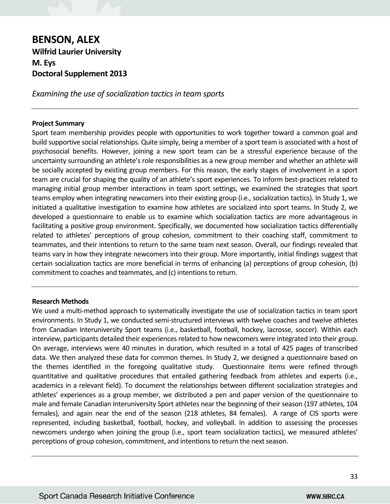# **BENSON, ALEX Wilfrid Laurier University M. Eys Doctoral Supplement 2013**

*Examining the use of socialization tactics in team sports* 

## **Project Summary**

Sport team membership provides people with opportunities to work together toward a common goal and build supportive social relationships. Quite simply, being a member of a sport team is associated with a host of psychosocial benefits. However, joining a new sport team can be a stressful experience because of the uncertainty surrounding an athlete's role responsibilities as a new group member and whether an athlete will be socially accepted by existing group members. For this reason, the early stages of involvement in a sport team are crucial for shaping the quality of an athlete's sport experiences. To inform best-practices related to managing initial group member interactions in team sport settings, we examined the strategies that sport teams employ when integrating newcomers into their existing group (i.e., socialization tactics). In Study 1, we initiated a qualitative investigation to examine how athletes are socialized into sport teams. In Study 2, we developed a questionnaire to enable us to examine which socialization tactics are more advantageous in facilitating a positive group environment. Specifically, we documented how socialization tactics differentially related to athletes' perceptions of group cohesion, commitment to their coaching staff, commitment to teammates, and their intentions to return to the same team next season. Overall, our findings revealed that teams vary in how they integrate newcomers into their group. More importantly, initial findings suggest that certain socialization tactics are more beneficial in terms of enhancing (a) perceptions of group cohesion, (b) commitment to coaches and teammates, and (c) intentions to return.

# **Research Methods**

We used a multi-method approach to systematically investigate the use of socialization tactics in team sport environments. In Study 1, we conducted semi-structured interviews with twelve coaches and twelve athletes from Canadian Interuniversity Sport teams (i.e., basketball, football, hockey, lacrosse, soccer). Within each interview, participants detailed their experiences related to how newcomers were integrated into their group. On average, interviews were 40 minutes in duration, which resulted in a total of 425 pages of transcribed data. We then analyzed these data for common themes. In Study 2, we designed a questionnaire based on the themes identified in the foregoing qualitative study. Questionnaire items were refined through quantitative and qualitative procedures that entailed gathering feedback from athletes and experts (i.e., academics in a relevant field). To document the relationships between different socialization strategies and athletes' experiences as a group member, we distributed a pen and paper version of the questionnaire to male and female Canadian Interuniversity Sport athletes near the beginning of their season (197 athletes, 104 females), and again near the end of the season (218 athletes, 84 females). A range of CIS sports were represented, including basketball, football, hockey, and volleyball. In addition to assessing the processes newcomers undergo when joining the group (i.e., sport team socialization tactics), we measured athletes' perceptions of group cohesion, commitment, and intentions to return the next season.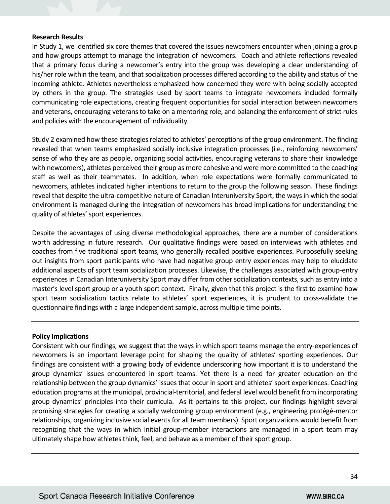#### **Research Results**

In Study 1, we identified six core themes that covered the issues newcomers encounter when joining a group and how groups attempt to manage the integration of newcomers. Coach and athlete reflections revealed that a primary focus during a newcomer's entry into the group was developing a clear understanding of his/her role within the team, and that socialization processes differed according to the ability and status of the incoming athlete. Athletes nevertheless emphasized how concerned they were with being socially accepted by others in the group. The strategies used by sport teams to integrate newcomers included formally communicating role expectations, creating frequent opportunities for social interaction between newcomers and veterans, encouraging veterans to take on a mentoring role, and balancing the enforcement of strict rules and policies with the encouragement of individuality.

Study 2 examined how these strategies related to athletes' perceptions of the group environment. The finding revealed that when teams emphasized socially inclusive integration processes (i.e., reinforcing newcomers' sense of who they are as people, organizing social activities, encouraging veterans to share their knowledge with newcomers), athletes perceived their group as more cohesive and were more committed to the coaching staff as well as their teammates. In addition, when role expectations were formally communicated to newcomers, athletes indicated higher intentions to return to the group the following season. These findings reveal that despite the ultra-competitive nature of Canadian Interuniversity Sport, the ways in which the social environment is managed during the integration of newcomers has broad implications for understanding the quality of athletes' sport experiences.

Despite the advantages of using diverse methodological approaches, there are a number of considerations worth addressing in future research. Our qualitative findings were based on interviews with athletes and coaches from five traditional sport teams, who generally recalled positive experiences. Purposefully seeking out insights from sport participants who have had negative group entry experiences may help to elucidate additional aspects of sport team socialization processes. Likewise, the challenges associated with group-entry experiences in Canadian Interuniversity Sport may differ from other socialization contexts, such as entry into a master's level sport group or a youth sport context. Finally, given that this project is the first to examine how sport team socialization tactics relate to athletes' sport experiences, it is prudent to cross-validate the questionnaire findings with a large independent sample, across multiple time points.

## **Policy Implications**

Consistent with our findings, we suggest that the ways in which sport teams manage the entry-experiences of newcomers is an important leverage point for shaping the quality of athletes' sporting experiences. Our findings are consistent with a growing body of evidence underscoring how important it is to understand the group dynamics' issues encountered in sport teams. Yet there is a need for greater education on the relationship between the group dynamics' issues that occur in sport and athletes' sport experiences. Coaching education programs at the municipal, provincial-territorial, and federal level would benefit from incorporating group dynamics' principles into their curricula. As it pertains to this project, our findings highlight several promising strategies for creating a socially welcoming group environment (e.g., engineering protégé-mentor relationships, organizing inclusive social events for all team members). Sport organizations would benefit from recognizing that the ways in which initial group-member interactions are managed in a sport team may ultimately shape how athletes think, feel, and behave as a member of their sport group.